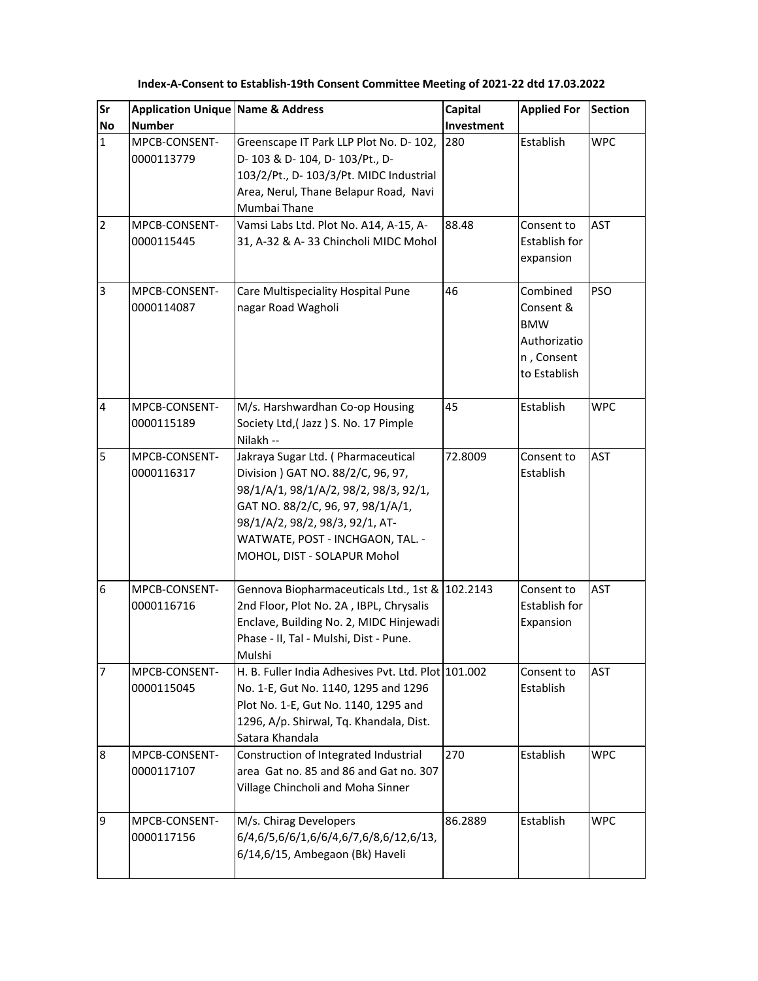| Sr<br><b>No</b>         | <b>Application Unique Name &amp; Address</b><br><b>Number</b> |                                                                                                                                                                                                                                                              | Capital<br>Investment | <b>Applied For</b>                                                                | <b>Section</b> |
|-------------------------|---------------------------------------------------------------|--------------------------------------------------------------------------------------------------------------------------------------------------------------------------------------------------------------------------------------------------------------|-----------------------|-----------------------------------------------------------------------------------|----------------|
| $\mathbf{1}$            | MPCB-CONSENT-<br>0000113779                                   | Greenscape IT Park LLP Plot No. D- 102,<br>D-103 & D-104, D-103/Pt., D-<br>103/2/Pt., D- 103/3/Pt. MIDC Industrial<br>Area, Nerul, Thane Belapur Road, Navi<br>Mumbai Thane                                                                                  | 280                   | Establish                                                                         | <b>WPC</b>     |
| $\overline{2}$          | MPCB-CONSENT-<br>0000115445                                   | Vamsi Labs Ltd. Plot No. A14, A-15, A-<br>31, A-32 & A-33 Chincholi MIDC Mohol                                                                                                                                                                               | 88.48                 | Consent to<br>Establish for<br>expansion                                          | <b>AST</b>     |
| 3                       | MPCB-CONSENT-<br>0000114087                                   | Care Multispeciality Hospital Pune<br>nagar Road Wagholi                                                                                                                                                                                                     | 46                    | Combined<br>Consent &<br><b>BMW</b><br>Authorizatio<br>n, Consent<br>to Establish | <b>PSO</b>     |
| $\overline{\mathbf{4}}$ | MPCB-CONSENT-<br>0000115189                                   | M/s. Harshwardhan Co-op Housing<br>Society Ltd, (Jazz) S. No. 17 Pimple<br>Nilakh --                                                                                                                                                                         | 45                    | Establish                                                                         | <b>WPC</b>     |
| 5                       | MPCB-CONSENT-<br>0000116317                                   | Jakraya Sugar Ltd. (Pharmaceutical<br>Division ) GAT NO. 88/2/C, 96, 97,<br>98/1/A/1, 98/1/A/2, 98/2, 98/3, 92/1,<br>GAT NO. 88/2/C, 96, 97, 98/1/A/1,<br>98/1/A/2, 98/2, 98/3, 92/1, AT-<br>WATWATE, POST - INCHGAON, TAL. -<br>MOHOL, DIST - SOLAPUR Mohol | 72.8009               | Consent to<br>Establish                                                           | <b>AST</b>     |
| $6\phantom{1}6$         | MPCB-CONSENT-<br>0000116716                                   | Gennova Biopharmaceuticals Ltd., 1st & 102.2143<br>2nd Floor, Plot No. 2A, IBPL, Chrysalis<br>Enclave, Building No. 2, MIDC Hinjewadi<br>Phase - II, Tal - Mulshi, Dist - Pune.<br>Mulshi                                                                    |                       | Consent to<br>Establish for<br>Expansion                                          | <b>AST</b>     |
| $\overline{7}$          | MPCB-CONSENT-<br>0000115045                                   | H. B. Fuller India Adhesives Pvt. Ltd. Plot 101.002<br>No. 1-E, Gut No. 1140, 1295 and 1296<br>Plot No. 1-E, Gut No. 1140, 1295 and<br>1296, A/p. Shirwal, Tq. Khandala, Dist.<br>Satara Khandala                                                            |                       | Consent to<br>Establish                                                           | <b>AST</b>     |
| $\boldsymbol{8}$        | MPCB-CONSENT-<br>0000117107                                   | Construction of Integrated Industrial<br>area Gat no. 85 and 86 and Gat no. 307<br>Village Chincholi and Moha Sinner                                                                                                                                         | 270                   | Establish                                                                         | <b>WPC</b>     |
| $\overline{9}$          | MPCB-CONSENT-<br>0000117156                                   | M/s. Chirag Developers<br>6/4,6/5,6/6/1,6/6/4,6/7,6/8,6/12,6/13,<br>6/14,6/15, Ambegaon (Bk) Haveli                                                                                                                                                          | 86.2889               | Establish                                                                         | <b>WPC</b>     |

**Index-A-Consent to Establish-19th Consent Committee Meeting of 2021-22 dtd 17.03.2022**